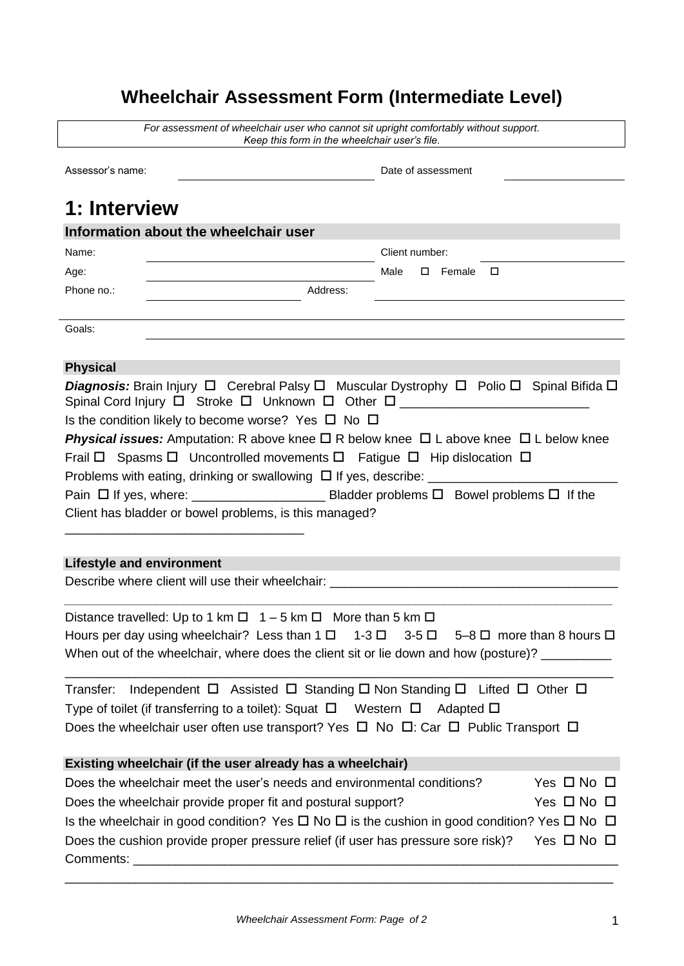# **Wheelchair Assessment Form (Intermediate Level)**

|                                       | Keep this form in the wheelchair user's file.                                                                    |
|---------------------------------------|------------------------------------------------------------------------------------------------------------------|
| Assessor's name:                      | Date of assessment                                                                                               |
| 1: Interview                          |                                                                                                                  |
| Information about the wheelchair user |                                                                                                                  |
| Name:                                 | Client number:                                                                                                   |
| Age:                                  | Male<br>$\square$ Female $\square$                                                                               |
| Phone no.:                            | Address:                                                                                                         |
| Goals:                                |                                                                                                                  |
| <b>Physical</b>                       |                                                                                                                  |
|                                       | Diagnosis: Brain Injury □ Cerebral Palsy □ Muscular Dystrophy □ Polio □ Spinal Bifida □                          |
|                                       | Is the condition likely to become worse? Yes $\Box$ No $\Box$                                                    |
|                                       | <b>Physical issues:</b> Amputation: R above knee $\Box$ R below knee $\Box$ L above knee $\Box$ L below knee     |
|                                       |                                                                                                                  |
|                                       | Frail $\Box$ Spasms $\Box$ Uncontrolled movements $\Box$ Fatigue $\Box$ Hip dislocation $\Box$                   |
|                                       |                                                                                                                  |
|                                       |                                                                                                                  |
|                                       | Client has bladder or bowel problems, is this managed?                                                           |
|                                       |                                                                                                                  |
|                                       |                                                                                                                  |
| <b>Lifestyle and environment</b>      |                                                                                                                  |
|                                       | Describe where client will use their wheelchair: ________________________________                                |
|                                       | Distance travelled: Up to 1 km $\Box$ 1 – 5 km $\Box$ More than 5 km $\Box$                                      |
|                                       | Hours per day using wheelchair? Less than $1 \Box 1 - 3 \Box 3 - 5 \Box 5 - 8 \Box$ more than 8 hours $\Box$     |
|                                       | When out of the wheelchair, where does the client sit or lie down and how (posture)? __________                  |
|                                       |                                                                                                                  |
| Transfer:                             | Independent $\Box$ Assisted $\Box$ Standing $\Box$ Non Standing $\Box$ Lifted $\Box$ Other $\Box$                |
|                                       | Type of toilet (if transferring to a toilet): Squat $\Box$ Western $\Box$ Adapted $\Box$                         |
|                                       | Does the wheelchair user often use transport? Yes $\Box$ No $\Box$ : Car $\Box$ Public Transport $\Box$          |
|                                       | Existing wheelchair (if the user already has a wheelchair)                                                       |
|                                       | Yes $\Box$ No $\Box$<br>Does the wheelchair meet the user's needs and environmental conditions?                  |
|                                       | Yes $\Box$ No $\Box$<br>Does the wheelchair provide proper fit and postural support?                             |
|                                       | Is the wheelchair in good condition? Yes $\Box$ No $\Box$ is the cushion in good condition? Yes $\Box$ No $\Box$ |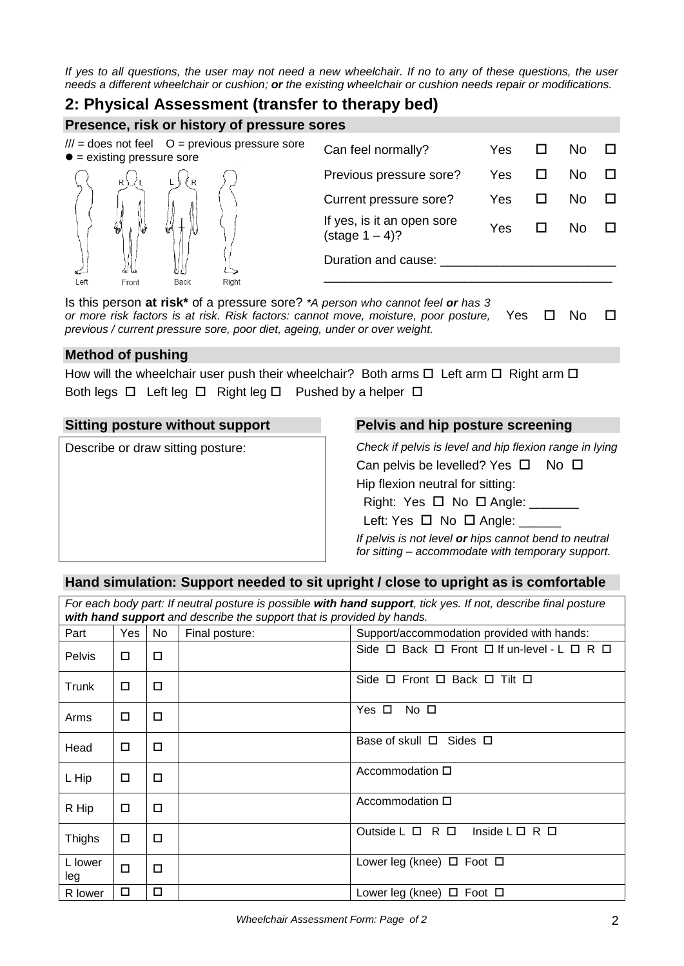*If yes to all questions, the user may not need a new wheelchair. If no to any of these questions, the user needs a different wheelchair or cushion; or the existing wheelchair or cushion needs repair or modifications.*

#### **2: Physical Assessment (transfer to therapy bed)**

**Presence, risk or history of pressure sores**

| $\bullet$ = existing pressure sore |       |           | $III =$ does not feel $O =$ previous pressure sore | Can feel normally?                                     | Yes | Nο |  |
|------------------------------------|-------|-----------|----------------------------------------------------|--------------------------------------------------------|-----|----|--|
|                                    | R     | R         |                                                    | Previous pressure sore?                                | Yes | Nο |  |
|                                    |       |           |                                                    | Current pressure sore?                                 | Yes | NΟ |  |
|                                    |       |           |                                                    | If yes, is it an open sore<br>$(\text{stage } 1 - 4)?$ | Yes |    |  |
|                                    |       |           |                                                    | Duration and cause:                                    |     |    |  |
| Left<br>.                          | Front | Back<br>. | Right                                              |                                                        |     |    |  |

Is this person **at risk\*** of a pressure sore? *\*A person who cannot feel or has 3 or more risk factors is at risk. Risk factors: cannot move, moisture, poor posture, previous / current pressure sore, poor diet, ageing, under or over weight.* Yes  $\Box$  No  $\Box$ 

#### **Method of pushing**

How will the wheelchair user push their wheelchair? Both arms  $\Box$  Left arm  $\Box$  Right arm  $\Box$ Both legs  $\Box$  Left leg  $\Box$  Right leg  $\Box$  Pushed by a helper  $\Box$ 

Describe or draw sitting posture: *Check if pelvis is level and hip flexion range in lying*

#### **Sitting posture without support Pelvis and hip posture screening**

| Check if pelvis is level and hip flexion range in lying |
|---------------------------------------------------------|
| Can pelvis be levelled? Yes $\Box$ No $\Box$            |
| Hip flexion neutral for sitting:                        |
| Right: Yes $\Box$ No $\Box$ Angle:                      |
| Left: Yes $\Box$ No $\Box$ Angle: _                     |

*If pelvis is not level or hips cannot bend to neutral for sitting – accommodate with temporary support.*

#### **Hand simulation: Support needed to sit upright / close to upright as is comfortable**

| For each body part: If neutral posture is possible with hand support, tick yes. If not, describe final posture<br>with hand support and describe the support that is provided by hands. |        |     |                |                                                                      |
|-----------------------------------------------------------------------------------------------------------------------------------------------------------------------------------------|--------|-----|----------------|----------------------------------------------------------------------|
| Part                                                                                                                                                                                    | Yes    | No. | Final posture: | Support/accommodation provided with hands:                           |
| <b>Pelvis</b>                                                                                                                                                                           | □      | □   |                | Side $\Box$ Back $\Box$ Front $\Box$ If un-level - L $\Box$ R $\Box$ |
| Trunk                                                                                                                                                                                   | $\Box$ | □   |                | Side $\Box$ Front $\Box$ Back $\Box$ Tilt $\Box$                     |
| Arms                                                                                                                                                                                    | $\Box$ | □   |                | Yes □<br>No □                                                        |
| Head                                                                                                                                                                                    | □      | □   |                | Base of skull $\Box$ Sides $\Box$                                    |
| L Hip                                                                                                                                                                                   | $\Box$ | □   |                | Accommodation $\square$                                              |
| R Hip                                                                                                                                                                                   | □      | □   |                | Accommodation $\Box$                                                 |
| <b>Thighs</b>                                                                                                                                                                           | □      | □   |                | Outside $L \Box R \Box$<br>Inside $L \Box R \Box$                    |
| L lower<br>leg                                                                                                                                                                          | □      | □   |                | Lower leg (knee) $\Box$ Foot $\Box$                                  |
| R lower                                                                                                                                                                                 | □      | □   |                | Lower leg (knee) $\Box$ Foot $\Box$                                  |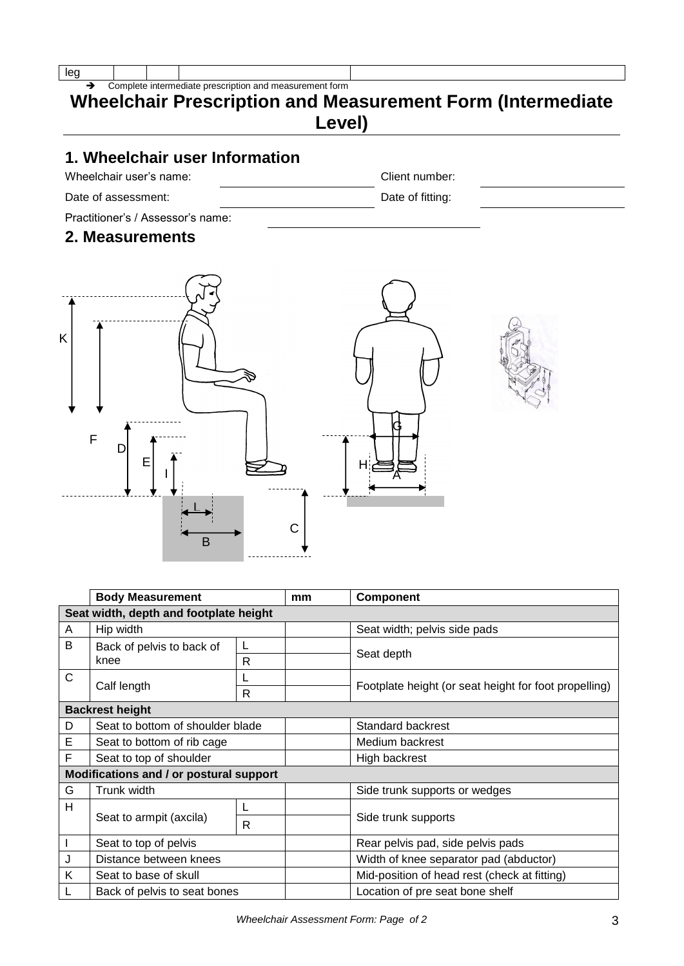Complete intermediate prescription and measurement form

## **Wheelchair Prescription and Measurement Form (Intermediate Level)**

## **1. Wheelchair user Information**

Wheelchair user's name: Version of the Client number:

Date of assessment: Date of fitting:

Practitioner's / Assessor's name:

#### **2. Measurements**



|   | <b>Body Measurement</b>                 |   | mm | <b>Component</b>                                      |  |
|---|-----------------------------------------|---|----|-------------------------------------------------------|--|
|   | Seat width, depth and footplate height  |   |    |                                                       |  |
| A | Hip width                               |   |    | Seat width; pelvis side pads                          |  |
| B | Back of pelvis to back of               |   |    |                                                       |  |
|   | knee                                    | R |    | Seat depth                                            |  |
| C |                                         |   |    |                                                       |  |
|   | Calf length                             | R |    | Footplate height (or seat height for foot propelling) |  |
|   | <b>Backrest height</b>                  |   |    |                                                       |  |
| D | Seat to bottom of shoulder blade        |   |    | Standard backrest                                     |  |
| Е | Seat to bottom of rib cage              |   |    | Medium backrest                                       |  |
| F | Seat to top of shoulder                 |   |    | High backrest                                         |  |
|   | Modifications and / or postural support |   |    |                                                       |  |
| G | Trunk width                             |   |    | Side trunk supports or wedges                         |  |
| H |                                         |   |    |                                                       |  |
|   | Seat to armpit (axcila)                 | R |    | Side trunk supports                                   |  |
|   | Seat to top of pelvis                   |   |    | Rear pelvis pad, side pelvis pads                     |  |
| J | Distance between knees                  |   |    | Width of knee separator pad (abductor)                |  |
| K | Seat to base of skull                   |   |    | Mid-position of head rest (check at fitting)          |  |
|   | Back of pelvis to seat bones            |   |    | Location of pre seat bone shelf                       |  |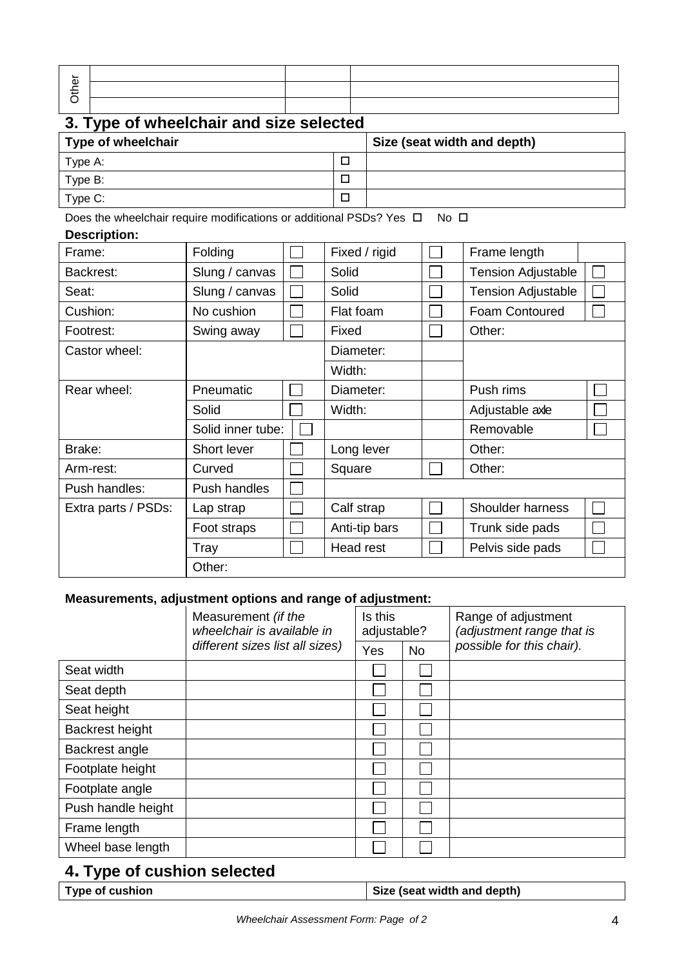| Φ |  |  |
|---|--|--|
|   |  |  |

# **3. Type of wheelchair and size selected**

| Type of wheelchair | Size (seat width and depth) |
|--------------------|-----------------------------|
| Type A:            |                             |
| Type B:            |                             |
| Type C:            |                             |

Does the wheelchair require modifications or additional PSDs? Yes  $\Box$  No  $\Box$ 

#### **Description:**

| Frame:              | Folding           |  | Fixed / rigid | Frame length              |  |
|---------------------|-------------------|--|---------------|---------------------------|--|
| Backrest:           | Slung / canvas    |  | Solid         | <b>Tension Adjustable</b> |  |
| Seat:               | Slung / canvas    |  |               | <b>Tension Adjustable</b> |  |
| Cushion:            | No cushion        |  | Flat foam     | Foam Contoured            |  |
| Footrest:           | Swing away        |  | Fixed         | Other:                    |  |
| Castor wheel:       |                   |  | Diameter:     |                           |  |
|                     |                   |  | Width:        |                           |  |
| Rear wheel:         | Pneumatic         |  | Diameter:     | Push rims                 |  |
|                     | Solid             |  | Width:        | Adjustable axle           |  |
|                     | Solid inner tube: |  |               | Removable                 |  |
| Brake:              | Short lever       |  | Long lever    | Other:                    |  |
| Arm-rest:           | Curved            |  | Square        | Other:                    |  |
| Push handles:       | Push handles      |  |               |                           |  |
| Extra parts / PSDs: | Lap strap         |  | Calf strap    | Shoulder harness          |  |
|                     | Foot straps       |  | Anti-tip bars | Trunk side pads           |  |
|                     | Tray              |  | Head rest     | Pelvis side pads          |  |
|                     | Other:            |  |               |                           |  |

#### **Measurements, adjustment options and range of adjustment:**

|                    | Measurement (if the<br>wheelchair is available in | Is this<br>adjustable? |           | Range of adjustment<br>(adjustment range that is |
|--------------------|---------------------------------------------------|------------------------|-----------|--------------------------------------------------|
|                    | different sizes list all sizes)                   | Yes                    | <b>No</b> | possible for this chair).                        |
| Seat width         |                                                   |                        |           |                                                  |
| Seat depth         |                                                   |                        |           |                                                  |
| Seat height        |                                                   |                        |           |                                                  |
| Backrest height    |                                                   |                        |           |                                                  |
| Backrest angle     |                                                   |                        |           |                                                  |
| Footplate height   |                                                   |                        |           |                                                  |
| Footplate angle    |                                                   |                        |           |                                                  |
| Push handle height |                                                   |                        |           |                                                  |
| Frame length       |                                                   |                        |           |                                                  |
| Wheel base length  |                                                   |                        |           |                                                  |

## **4. Type of cushion selected**

| Size (seat width and depth)<br><b>Type of cushion</b> |
|-------------------------------------------------------|
|-------------------------------------------------------|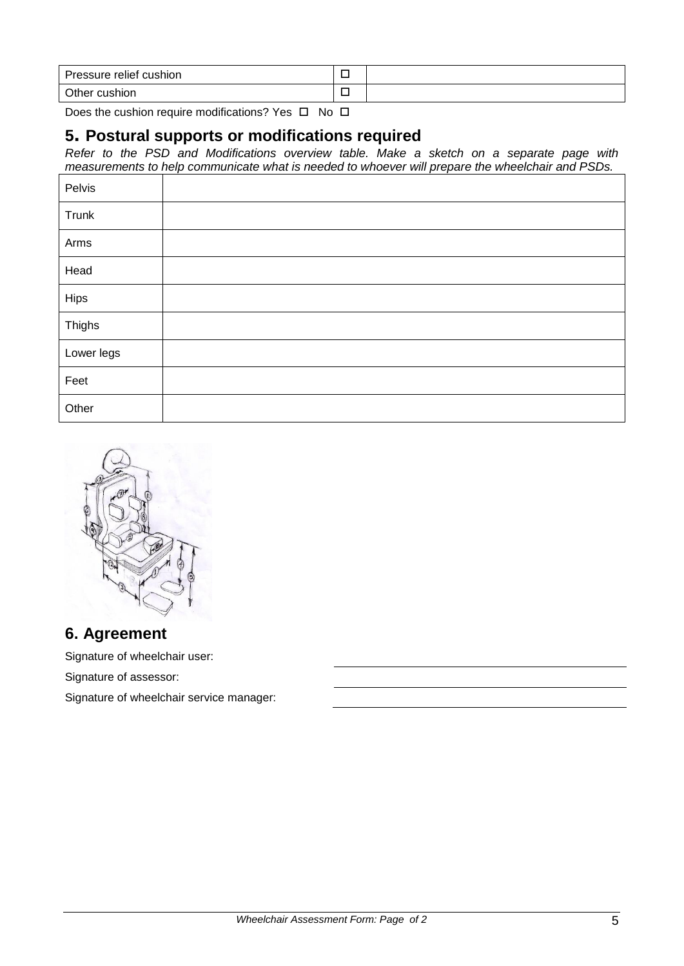| Pressure relief cushion |  |
|-------------------------|--|
| Other cushion           |  |

Does the cushion require modifications? Yes  $\Box$  No  $\Box$ 

#### **5. Postural supports or modifications required**

*Refer to the PSD and Modifications overview table. Make a sketch on a separate page with measurements to help communicate what is needed to whoever will prepare the wheelchair and PSDs.*

| Pelvis     |  |
|------------|--|
| Trunk      |  |
| Arms       |  |
| Head       |  |
| Hips       |  |
| Thighs     |  |
| Lower legs |  |
| Feet       |  |
| Other      |  |



#### **6. Agreement**

Signature of wheelchair user:

Signature of assessor:

Signature of wheelchair service manager: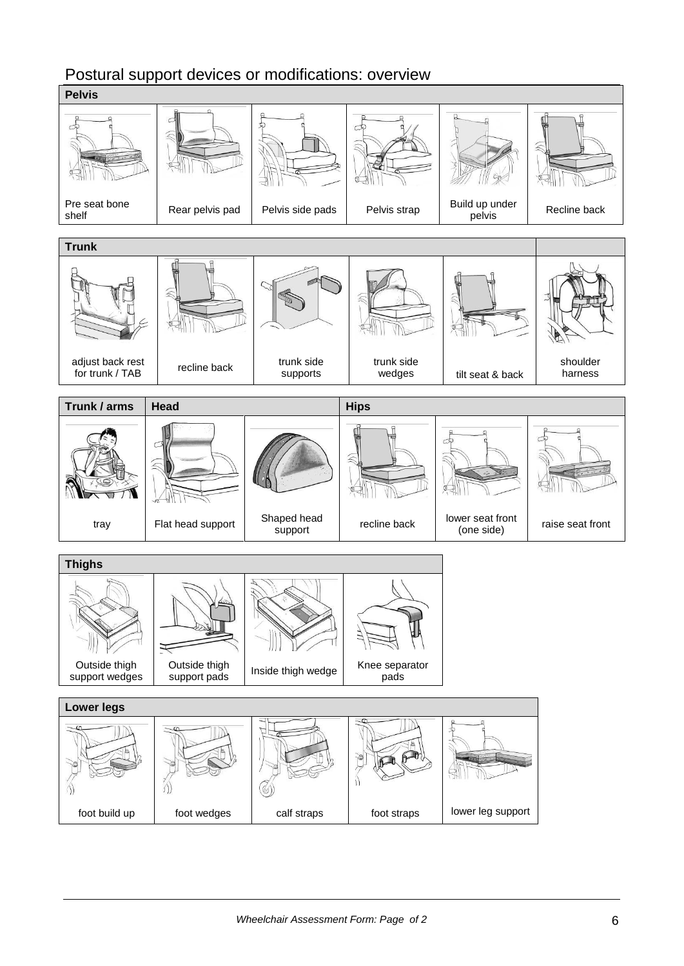### Postural support devices or modifications: overview

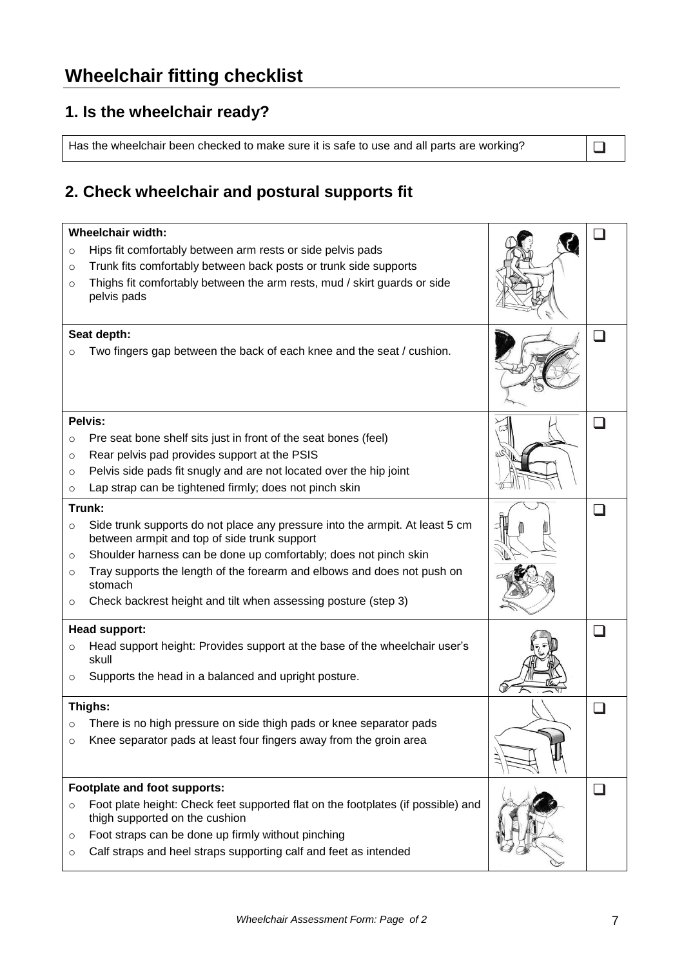# **Wheelchair fitting checklist**

## **1. Is the wheelchair ready?**

Has the wheelchair been checked to make sure it is safe to use and all parts are working?  $\Box$ 

## **2. Check wheelchair and postural supports fit**

| <b>Wheelchair width:</b>     |                                                                                                                              |  |              |
|------------------------------|------------------------------------------------------------------------------------------------------------------------------|--|--------------|
| $\circ$                      | Hips fit comfortably between arm rests or side pelvis pads                                                                   |  |              |
| $\circ$                      | Trunk fits comfortably between back posts or trunk side supports                                                             |  |              |
| $\circ$                      | Thighs fit comfortably between the arm rests, mud / skirt guards or side                                                     |  |              |
|                              | pelvis pads                                                                                                                  |  |              |
| Seat depth:                  |                                                                                                                              |  | a ka         |
| O                            | Two fingers gap between the back of each knee and the seat / cushion.                                                        |  |              |
|                              |                                                                                                                              |  |              |
|                              |                                                                                                                              |  |              |
|                              |                                                                                                                              |  |              |
|                              | Pelvis:                                                                                                                      |  |              |
| $\circ$                      | Pre seat bone shelf sits just in front of the seat bones (feel)                                                              |  |              |
| $\circ$                      | Rear pelvis pad provides support at the PSIS                                                                                 |  |              |
| $\circ$                      | Pelvis side pads fit snugly and are not located over the hip joint                                                           |  |              |
| $\circ$                      | Lap strap can be tightened firmly; does not pinch skin                                                                       |  |              |
|                              | Trunk:                                                                                                                       |  | $\mathbf{I}$ |
| $\circ$                      | Side trunk supports do not place any pressure into the armpit. At least 5 cm<br>between armpit and top of side trunk support |  |              |
| $\circ$                      | Shoulder harness can be done up comfortably; does not pinch skin                                                             |  |              |
| $\circ$                      | Tray supports the length of the forearm and elbows and does not push on<br>stomach                                           |  |              |
| $\circ$                      | Check backrest height and tilt when assessing posture (step 3)                                                               |  |              |
| <b>Head support:</b>         |                                                                                                                              |  |              |
| $\circ$                      | Head support height: Provides support at the base of the wheelchair user's<br>skull                                          |  |              |
| O                            | Supports the head in a balanced and upright posture.                                                                         |  |              |
|                              |                                                                                                                              |  |              |
|                              | Thighs:<br>There is no high pressure on side thigh pads or knee separator pads                                               |  |              |
| $\circ$                      | Knee separator pads at least four fingers away from the groin area                                                           |  |              |
| $\circ$                      |                                                                                                                              |  |              |
|                              |                                                                                                                              |  |              |
| Footplate and foot supports: |                                                                                                                              |  |              |
| $\circ$                      | Foot plate height: Check feet supported flat on the footplates (if possible) and<br>thigh supported on the cushion           |  |              |
| $\circ$                      | Foot straps can be done up firmly without pinching                                                                           |  |              |
| $\circ$                      | Calf straps and heel straps supporting calf and feet as intended                                                             |  |              |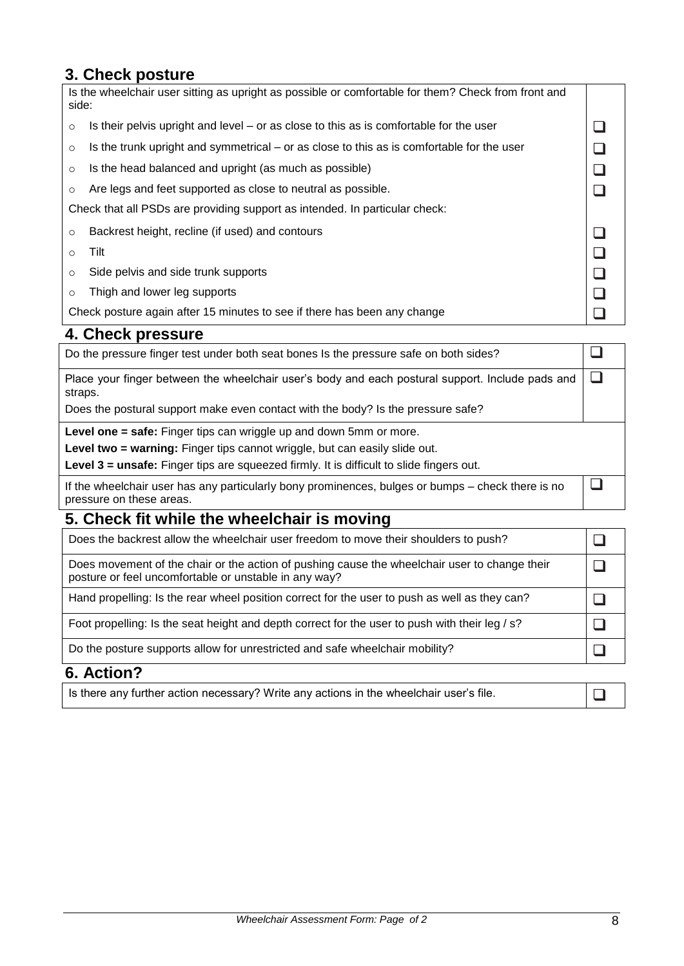## **3. Check posture**

| Is the wheelchair user sitting as upright as possible or comfortable for them? Check from front and<br>side: |                                                                                           |  |
|--------------------------------------------------------------------------------------------------------------|-------------------------------------------------------------------------------------------|--|
| $\circ$                                                                                                      | Is their pelvis upright and level $-$ or as close to this as is comfortable for the user  |  |
| $\circ$                                                                                                      | Is the trunk upright and symmetrical – or as close to this as is comfortable for the user |  |
| $\circ$                                                                                                      | Is the head balanced and upright (as much as possible)                                    |  |
| O                                                                                                            | Are legs and feet supported as close to neutral as possible.                              |  |
| Check that all PSDs are providing support as intended. In particular check:                                  |                                                                                           |  |
| $\circ$                                                                                                      | Backrest height, recline (if used) and contours                                           |  |
| O                                                                                                            | Tilt                                                                                      |  |
| $\circ$                                                                                                      | Side pelvis and side trunk supports                                                       |  |
| $\circ$                                                                                                      | Thigh and lower leg supports                                                              |  |
|                                                                                                              | Check posture again after 15 minutes to see if there has been any change                  |  |

## **4. Check pressure**

| Do the pressure finger test under both seat bones Is the pressure safe on both sides?                                         |  |  |
|-------------------------------------------------------------------------------------------------------------------------------|--|--|
| Place your finger between the wheelchair user's body and each postural support. Include pads and<br>straps.                   |  |  |
| Does the postural support make even contact with the body? Is the pressure safe?                                              |  |  |
| Level one = safe: Finger tips can wriggle up and down 5mm or more.                                                            |  |  |
| Level two = warning: Finger tips cannot wriggle, but can easily slide out.                                                    |  |  |
| Level 3 = unsafe: Finger tips are squeezed firmly. It is difficult to slide fingers out.                                      |  |  |
| If the wheelchair user has any particularly bony prominences, bulges or bumps – check there is no<br>pressure on these areas. |  |  |

## **5. Check fit while the wheelchair is moving**

| Does the backrest allow the wheelchair user freedom to move their shoulders to push?                                                                   |  |
|--------------------------------------------------------------------------------------------------------------------------------------------------------|--|
| Does movement of the chair or the action of pushing cause the wheelchair user to change their<br>posture or feel uncomfortable or unstable in any way? |  |
| Hand propelling: Is the rear wheel position correct for the user to push as well as they can?                                                          |  |
| Foot propelling: Is the seat height and depth correct for the user to push with their leg / s?                                                         |  |
| Do the posture supports allow for unrestricted and safe wheelchair mobility?                                                                           |  |
| $\mathcal{C}$ $\mathcal{A}$ $\mathcal{A}$ $\mathcal{A}$ $\mathcal{A}$                                                                                  |  |

#### **6. Action?**

Is there any further action necessary? Write any actions in the wheelchair user's file.  $\Box$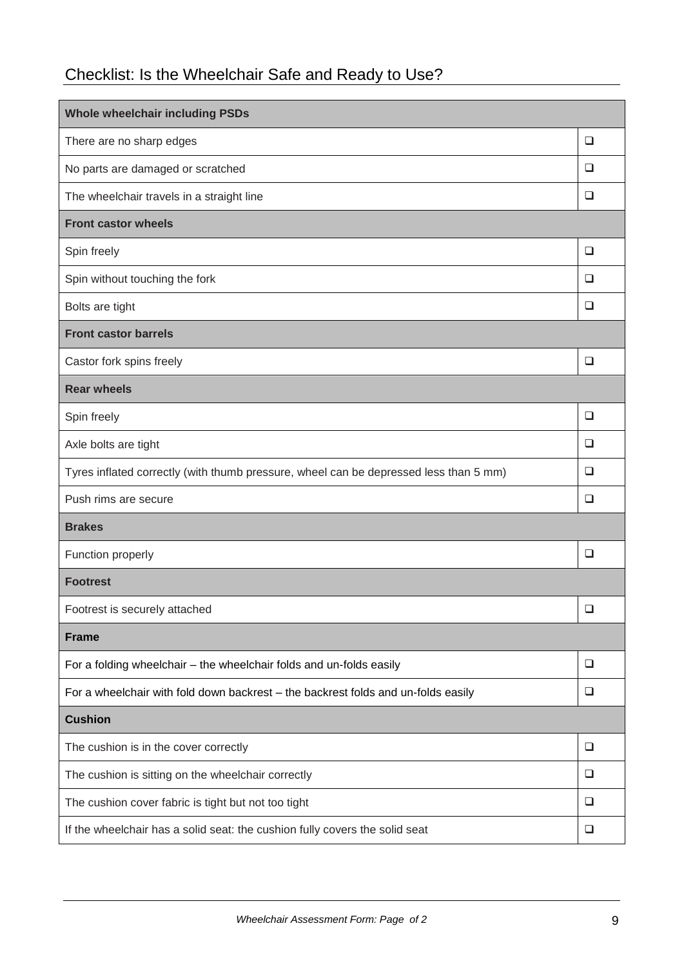# Checklist: Is the Wheelchair Safe and Ready to Use?

| <b>Whole wheelchair including PSDs</b>                                                |        |  |  |
|---------------------------------------------------------------------------------------|--------|--|--|
| There are no sharp edges                                                              | $\Box$ |  |  |
| No parts are damaged or scratched                                                     | $\Box$ |  |  |
| The wheelchair travels in a straight line                                             | $\Box$ |  |  |
| <b>Front castor wheels</b>                                                            |        |  |  |
| Spin freely                                                                           | $\Box$ |  |  |
| Spin without touching the fork                                                        | $\Box$ |  |  |
| Bolts are tight                                                                       | $\Box$ |  |  |
| <b>Front castor barrels</b>                                                           |        |  |  |
| Castor fork spins freely                                                              | $\Box$ |  |  |
| <b>Rear wheels</b>                                                                    |        |  |  |
| Spin freely                                                                           | $\Box$ |  |  |
| Axle bolts are tight                                                                  | $\Box$ |  |  |
| Tyres inflated correctly (with thumb pressure, wheel can be depressed less than 5 mm) | $\Box$ |  |  |
| Push rims are secure                                                                  | $\Box$ |  |  |
| <b>Brakes</b>                                                                         |        |  |  |
| Function properly                                                                     | $\Box$ |  |  |
| <b>Footrest</b>                                                                       |        |  |  |
| Footrest is securely attached                                                         | $\Box$ |  |  |
| <b>Frame</b>                                                                          |        |  |  |
| For a folding wheelchair - the wheelchair folds and un-folds easily                   | ❏      |  |  |
| For a wheelchair with fold down backrest - the backrest folds and un-folds easily     | ❏      |  |  |
| <b>Cushion</b>                                                                        |        |  |  |
| The cushion is in the cover correctly                                                 | ❏      |  |  |
| The cushion is sitting on the wheelchair correctly                                    | ❏      |  |  |
| The cushion cover fabric is tight but not too tight                                   | ◻      |  |  |
| If the wheelchair has a solid seat: the cushion fully covers the solid seat           | ❏      |  |  |